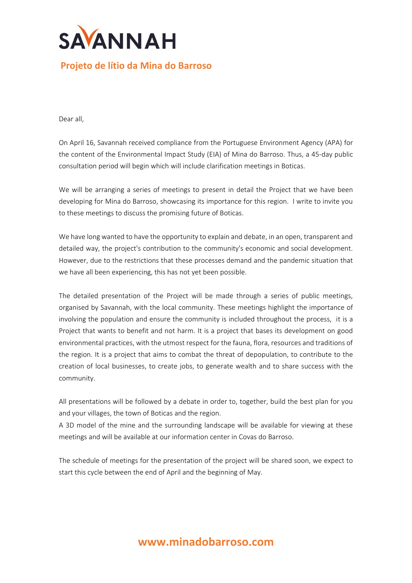

## **Projeto de lítio da Mina do Barroso**

Dear all,

On April 16, Savannah received compliance from the Portuguese Environment Agency (APA) for the content of the Environmental Impact Study (EIA) of Mina do Barroso. Thus, a 45-day public consultation period will begin which will include clarification meetings in Boticas.

We will be arranging a series of meetings to present in detail the Project that we have been developing for Mina do Barroso, showcasing its importance for this region. I write to invite you to these meetings to discuss the promising future of Boticas.

We have long wanted to have the opportunity to explain and debate, in an open, transparent and detailed way, the project's contribution to the community's economic and social development. However, due to the restrictions that these processes demand and the pandemic situation that we have all been experiencing, this has not yet been possible.

The detailed presentation of the Project will be made through a series of public meetings, organised by Savannah, with the local community. These meetings highlight the importance of involving the population and ensure the community is included throughout the process, it is a Project that wants to benefit and not harm. It is a project that bases its development on good environmental practices, with the utmost respect for the fauna, flora, resources and traditions of the region. It is a project that aims to combat the threat of depopulation, to contribute to the creation of local businesses, to create jobs, to generate wealth and to share success with the community.

All presentations will be followed by a debate in order to, together, build the best plan for you and your villages, the town of Boticas and the region.

A 3D model of the mine and the surrounding landscape will be available for viewing at these meetings and will be available at our information center in Covas do Barroso.

The schedule of meetings for the presentation of the project will be shared soon, we expect to start this cycle between the end of April and the beginning of May.

## **www.minadobarroso.com**